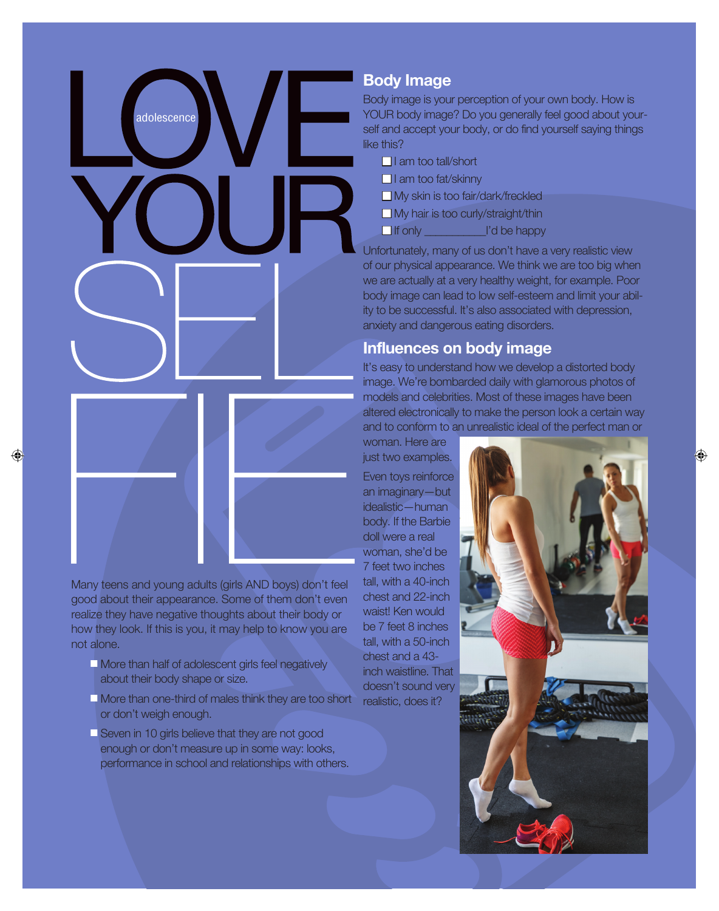### **Body Image**

Body image is your perception of your own body. How is YOUR body image? Do you generally feel good about yourself and accept your body, or do find yourself saying things like this?

| $\Box$ I am too tall/short                |              |
|-------------------------------------------|--------------|
| $\Box$ I am too fat/skinny                |              |
| $\Box$ My skin is too fair/dark/freckled  |              |
| $\Box$ My hair is too curly/straight/thin |              |
| $\Box$ If only                            | I'd be happy |

Unfortunately, many of us don't have a very realistic view of our physical appearance. We think we are too big when we are actually at a very healthy weight, for example. Poor body image can lead to low self-esteem and limit your ability to be successful. It's also associated with depression, anxiety and dangerous eating disorders.

#### **Influences on body image**

It's easy to understand how we develop a distorted body image. We're bombarded daily with glamorous photos of models and celebrities. Most of these images have been altered electronically to make the person look a certain way and to conform to an unrealistic ideal of the perfect man or

woman. Here are just two examples.

Even toys reinforce an imaginary—but idealistic—human body. If the Barbie doll were a real woman, she'd be 7 feet two inches tall, with a 40-inch chest and 22-inch waist! Ken would be 7 feet 8 inches tall, with a 50-inch chest and a 43 inch waistline. That doesn't sound very realistic, does it?

Many teens and young adults (girls AND boys) don't feel good about their appearance. Some of them don't even realize they have negative thoughts about their body or how they look. If this is you, it may help to know you are not alone.

adolescence

- $\Box$  More than half of adolescent girls feel negatively about their body shape or size.
- $\Box$  More than one-third of males think they are too short or don't weigh enough.
- **N** Seven in 10 girls believe that they are not good enough or don't measure up in some way: looks, performance in school and relationships with others.